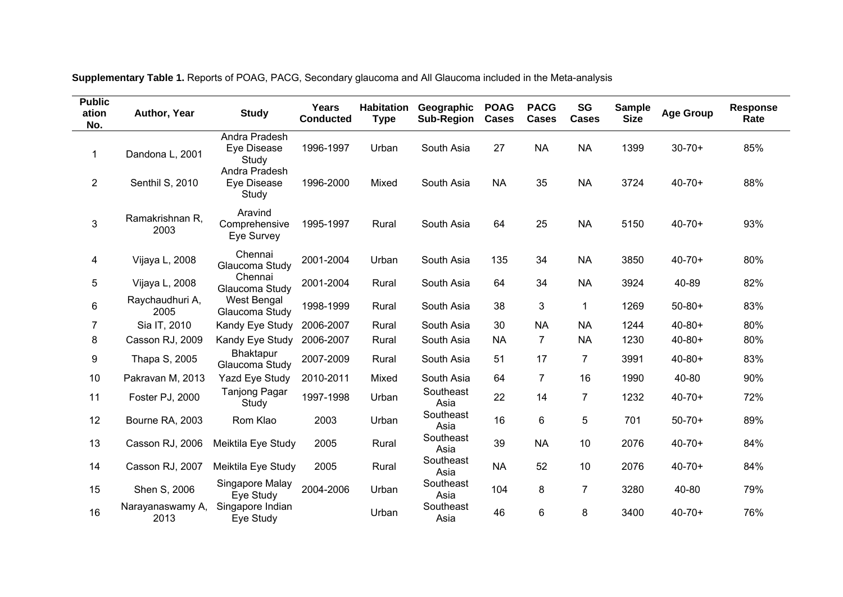| <b>Public</b><br>ation<br>No. | Author, Year             | <b>Study</b>                           | Years<br><b>Conducted</b> | <b>Habitation</b><br><b>Type</b> | Geographic<br><b>Sub-Region</b> | <b>POAG</b><br><b>Cases</b> | <b>PACG</b><br><b>Cases</b> | <b>SG</b><br><b>Cases</b> | <b>Sample</b><br><b>Size</b> | <b>Age Group</b> | <b>Response</b><br>Rate |
|-------------------------------|--------------------------|----------------------------------------|---------------------------|----------------------------------|---------------------------------|-----------------------------|-----------------------------|---------------------------|------------------------------|------------------|-------------------------|
| 1                             | Dandona L, 2001          | Andra Pradesh<br>Eye Disease<br>Study  | 1996-1997                 | Urban                            | South Asia                      | 27                          | <b>NA</b>                   | <b>NA</b>                 | 1399                         | $30 - 70 +$      | 85%                     |
| $\overline{2}$                | Senthil S, 2010          | Andra Pradesh<br>Eye Disease<br>Study  | 1996-2000                 | Mixed                            | South Asia                      | <b>NA</b>                   | 35                          | <b>NA</b>                 | 3724                         | $40 - 70 +$      | 88%                     |
| 3                             | Ramakrishnan R,<br>2003  | Aravind<br>Comprehensive<br>Eye Survey | 1995-1997                 | Rural                            | South Asia                      | 64                          | 25                          | <b>NA</b>                 | 5150                         | $40 - 70 +$      | 93%                     |
| 4                             | Vijaya L, 2008           | Chennai<br>Glaucoma Study              | 2001-2004                 | Urban                            | South Asia                      | 135                         | 34                          | <b>NA</b>                 | 3850                         | $40 - 70 +$      | 80%                     |
| 5                             | Vijaya L, 2008           | Chennai<br>Glaucoma Study              | 2001-2004                 | Rural                            | South Asia                      | 64                          | 34                          | <b>NA</b>                 | 3924                         | 40-89            | 82%                     |
| 6                             | Raychaudhuri A,<br>2005  | <b>West Bengal</b><br>Glaucoma Study   | 1998-1999                 | Rural                            | South Asia                      | 38                          | 3                           | $\mathbf{1}$              | 1269                         | $50 - 80 +$      | 83%                     |
| $\overline{7}$                | Sia IT, 2010             | Kandy Eye Study                        | 2006-2007                 | Rural                            | South Asia                      | 30                          | <b>NA</b>                   | <b>NA</b>                 | 1244                         | $40 - 80 +$      | 80%                     |
| 8                             | Casson RJ, 2009          | Kandy Eye Study                        | 2006-2007                 | Rural                            | South Asia                      | <b>NA</b>                   | 7                           | <b>NA</b>                 | 1230                         | $40 - 80 +$      | 80%                     |
| 9                             | Thapa S, 2005            | Bhaktapur<br>Glaucoma Study            | 2007-2009                 | Rural                            | South Asia                      | 51                          | 17                          | 7                         | 3991                         | $40 - 80 +$      | 83%                     |
| $10$                          | Pakravan M, 2013         | Yazd Eye Study                         | 2010-2011                 | Mixed                            | South Asia                      | 64                          | $\overline{7}$              | 16                        | 1990                         | 40-80            | 90%                     |
| 11                            | Foster PJ, 2000          | <b>Tanjong Pagar</b><br>Study          | 1997-1998                 | Urban                            | Southeast<br>Asia               | 22                          | 14                          | $\overline{7}$            | 1232                         | $40 - 70 +$      | 72%                     |
| 12                            | Bourne RA, 2003          | Rom Klao                               | 2003                      | Urban                            | Southeast<br>Asia               | 16                          | 6                           | 5                         | 701                          | $50 - 70 +$      | 89%                     |
| 13                            | Casson RJ, 2006          | Meiktila Eye Study                     | 2005                      | Rural                            | Southeast<br>Asia               | 39                          | <b>NA</b>                   | 10                        | 2076                         | $40 - 70 +$      | 84%                     |
| 14                            | Casson RJ, 2007          | Meiktila Eye Study                     | 2005                      | Rural                            | Southeast<br>Asia               | <b>NA</b>                   | 52                          | 10                        | 2076                         | $40 - 70 +$      | 84%                     |
| 15                            | Shen S, 2006             | Singapore Malay<br>Eye Study           | 2004-2006                 | Urban                            | Southeast<br>Asia               | 104                         | 8                           | $\overline{7}$            | 3280                         | 40-80            | 79%                     |
| 16                            | Narayanaswamy A,<br>2013 | Singapore Indian<br>Eye Study          |                           | Urban                            | Southeast<br>Asia               | 46                          | 6                           | 8                         | 3400                         | $40 - 70 +$      | 76%                     |

**Supplementary Table 1.** Reports of POAG, PACG, Secondary glaucoma and All Glaucoma included in the Meta-analysis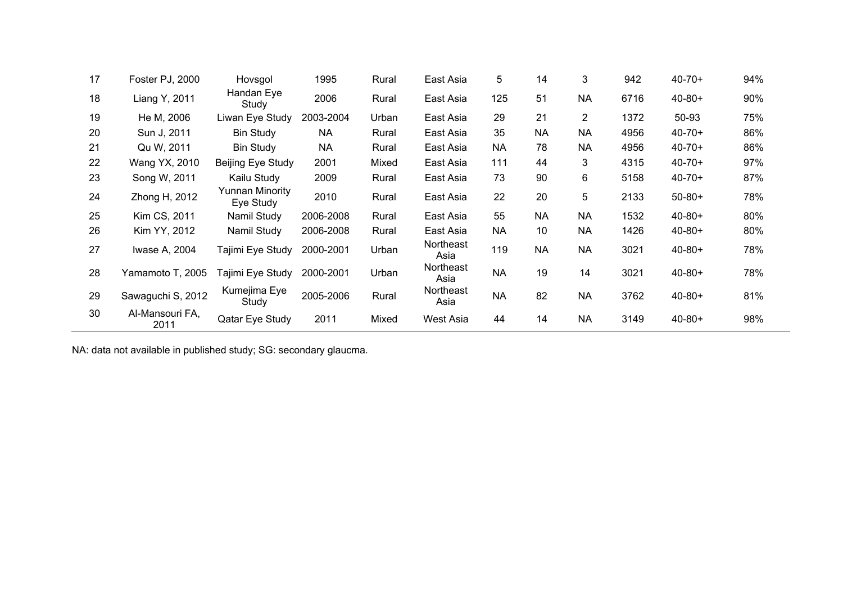| 17 | Foster PJ, 2000         | Hovsgol                      | 1995      | Rural | East Asia         | 5         | 14        | 3         | 942  | $40 - 70 +$ | 94% |
|----|-------------------------|------------------------------|-----------|-------|-------------------|-----------|-----------|-----------|------|-------------|-----|
| 18 | Liang Y, 2011           | Handan Eye<br>Study          | 2006      | Rural | East Asia         | 125       | 51        | <b>NA</b> | 6716 | $40 - 80 +$ | 90% |
| 19 | He M, 2006              | Liwan Eye Study              | 2003-2004 | Urban | East Asia         | 29        | 21        | 2         | 1372 | 50-93       | 75% |
| 20 | Sun J, 2011             | <b>Bin Study</b>             | <b>NA</b> | Rural | East Asia         | 35        | <b>NA</b> | <b>NA</b> | 4956 | $40 - 70 +$ | 86% |
| 21 | Qu W, 2011              | <b>Bin Study</b>             | <b>NA</b> | Rural | East Asia         | <b>NA</b> | 78        | <b>NA</b> | 4956 | $40 - 70 +$ | 86% |
| 22 | Wang YX, 2010           | Beijing Eye Study            | 2001      | Mixed | East Asia         | 111       | 44        | 3         | 4315 | $40 - 70 +$ | 97% |
| 23 | Song W, 2011            | Kailu Study                  | 2009      | Rural | East Asia         | 73        | 90        | 6         | 5158 | $40 - 70 +$ | 87% |
| 24 | Zhong H, 2012           | Yunnan Minority<br>Eye Study | 2010      | Rural | East Asia         | 22        | 20        | 5         | 2133 | $50 - 80 +$ | 78% |
| 25 | Kim CS, 2011            | Namil Study                  | 2006-2008 | Rural | East Asia         | 55        | <b>NA</b> | <b>NA</b> | 1532 | $40 - 80 +$ | 80% |
| 26 | Kim YY, 2012            | Namil Study                  | 2006-2008 | Rural | East Asia         | <b>NA</b> | 10        | <b>NA</b> | 1426 | $40 - 80 +$ | 80% |
| 27 | Iwase A, 2004           | Tajimi Eye Study             | 2000-2001 | Urban | Northeast<br>Asia | 119       | <b>NA</b> | <b>NA</b> | 3021 | $40 - 80 +$ | 78% |
| 28 | Yamamoto T, 2005        | Tajimi Eye Study             | 2000-2001 | Urban | Northeast<br>Asia | <b>NA</b> | 19        | 14        | 3021 | $40 - 80 +$ | 78% |
| 29 | Sawaguchi S, 2012       | Kumejima Eye<br>Study        | 2005-2006 | Rural | Northeast<br>Asia | <b>NA</b> | 82        | <b>NA</b> | 3762 | $40 - 80 +$ | 81% |
| 30 | Al-Mansouri FA,<br>2011 | Qatar Eye Study              | 2011      | Mixed | West Asia         | 44        | 14        | <b>NA</b> | 3149 | $40 - 80 +$ | 98% |

NA: data not available in published study; SG: secondary glaucma.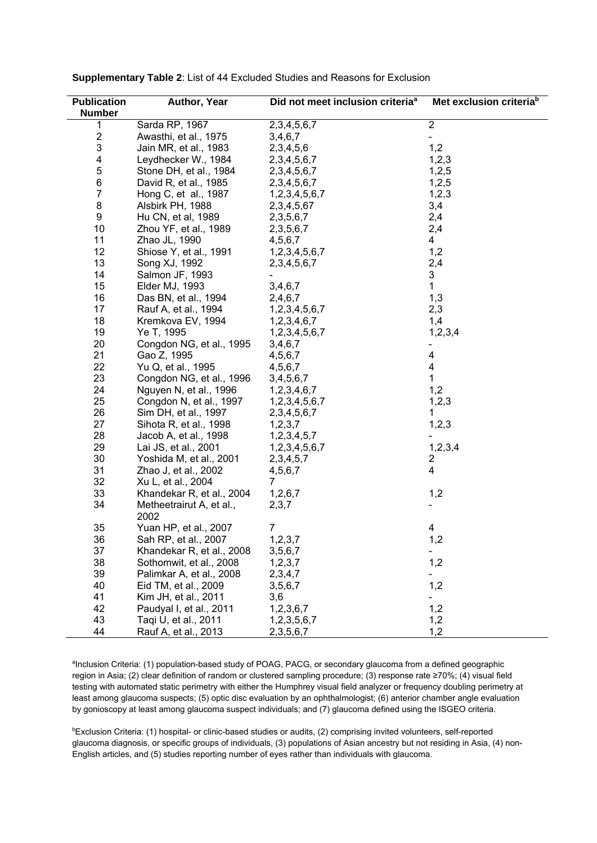| <b>Publication</b>      | Author, Year                     | Did not meet inclusion criteria <sup>a</sup> | Met exclusion criteria <sup>b</sup> |
|-------------------------|----------------------------------|----------------------------------------------|-------------------------------------|
| <b>Number</b>           |                                  |                                              |                                     |
| 1                       | Sarda RP, 1967                   | 2, 3, 4, 5, 6, 7                             | $\overline{2}$                      |
| $\overline{\mathbf{c}}$ | Awasthi, et al., 1975            | 3,4,6,7                                      | $\overline{\phantom{a}}$            |
| $\mathsf 3$             | Jain MR, et al., 1983            | 2,3,4,5,6                                    | 1,2                                 |
| 4                       | Leydhecker W., 1984              | 2, 3, 4, 5, 6, 7                             | 1,2,3                               |
| $\mathbf 5$             | Stone DH, et al., 1984           | 2, 3, 4, 5, 6, 7                             | 1,2,5                               |
| 6                       | David R, et al., 1985            | 2, 3, 4, 5, 6, 7                             | 1,2,5                               |
| $\overline{7}$          | Hong C, et al., 1987             | 1,2,3,4,5,6,7                                | 1,2,3                               |
| 8                       | Alsbirk PH, 1988                 | 2, 3, 4, 5, 67                               | 3,4                                 |
| 9                       | Hu CN, et al, 1989               | 2, 3, 5, 6, 7                                | 2,4                                 |
| 10                      | Zhou YF, et al., 1989            | 2, 3, 5, 6, 7                                | 2,4                                 |
| 11                      | Zhao JL, 1990                    | 4,5,6,7                                      | 4                                   |
| 12                      | Shiose Y, et al., 1991           | 1,2,3,4,5,6,7                                | 1,2                                 |
| 13                      | Song XJ, 1992                    | 2, 3, 4, 5, 6, 7                             | 2,4                                 |
| 14                      |                                  |                                              | 3                                   |
|                         | Salmon JF, 1993                  |                                              | $\mathbf{1}$                        |
| 15                      | Elder MJ, 1993                   | 3,4,6,7                                      |                                     |
| 16                      | Das BN, et al., 1994             | 2,4,6,7                                      | 1,3                                 |
| 17                      | Rauf A, et al., 1994             | 1,2,3,4,5,6,7                                | 2,3                                 |
| 18                      | Kremkova EV, 1994                | 1,2,3,4,6,7                                  | 1,4                                 |
| 19                      | Ye T, 1995                       | 1,2,3,4,5,6,7                                | 1,2,3,4                             |
| 20                      | Congdon NG, et al., 1995         | 3,4,6,7                                      |                                     |
| 21                      | Gao Z, 1995                      | 4,5,6,7                                      | 4                                   |
| 22                      | Yu Q, et al., 1995               | 4,5,6,7                                      | 4                                   |
| 23                      | Congdon NG, et al., 1996         | 3,4,5,6,7                                    | $\mathbf{1}$                        |
| 24                      | Nguyen N, et al., 1996           | 1,2,3,4,6,7                                  | 1,2                                 |
| 25                      | Congdon N, et al., 1997          | 1,2,3,4,5,6,7                                | 1,2,3                               |
| 26                      | Sim DH, et al., 1997             | 2, 3, 4, 5, 6, 7                             | 1                                   |
| 27                      | Sihota R, et al., 1998           | 1,2,3,7                                      | 1,2,3                               |
| 28                      | Jacob A, et al., 1998            | 1,2,3,4,5,7                                  |                                     |
| 29                      | Lai JS, et al., 2001             | 1,2,3,4,5,6,7                                | 1,2,3,4                             |
| 30                      | Yoshida M, et al., 2001          | 2, 3, 4, 5, 7                                | 2                                   |
| 31                      | Zhao J, et al., 2002             | 4,5,6,7                                      | 4                                   |
| 32                      | Xu L, et al., 2004               | $\overline{7}$                               |                                     |
| 33                      | Khandekar R, et al., 2004        | 1,2,6,7                                      | 1,2                                 |
| 34                      | Metheetrairut A, et al.,<br>2002 | 2,3,7                                        |                                     |
| 35                      | Yuan HP, et al., 2007            | 7                                            | 4                                   |
| 36                      | Sah RP. et al., 2007             | 1, 2, 3, 7                                   | 1,2                                 |
| 37                      | Khandekar R, et al., 2008        | 3, 5, 6, 7                                   | $\overline{\phantom{a}}$            |
| 38                      | Sothomwit, et al., 2008          | 1, 2, 3, 7                                   | 1,2                                 |
| 39                      | Palimkar A, et al., 2008         | 2,3,4,7                                      |                                     |
| 40                      | Eid TM, et al., 2009             | 3, 5, 6, 7                                   | 1,2                                 |
| 41                      | Kim JH, et al., 2011             | 3,6                                          |                                     |
| 42                      | Paudyal I, et al., 2011          | 1,2,3,6,7                                    | 1,2                                 |
| 43                      | Taqi U, et al., 2011             | 1,2,3,5,6,7                                  | 1,2                                 |
| 44                      | Rauf A, et al., 2013             | 2, 3, 5, 6, 7                                | 1,2                                 |
|                         |                                  |                                              |                                     |

Supplementary Table 2: List of 44 Excluded Studies and Reasons for Exclusion

alnclusion Criteria: (1) population-based study of POAG, PACG, or secondary glaucoma from a defined geographic region in Asia; (2) clear definition of random or clustered sampling procedure; (3) response rate ≥70%; (4) visual field testing with automated static perimetry with either the Humphrey visual field analyzer or frequency doubling perimetry at least among glaucoma suspects; (5) optic disc evaluation by an ophthalmologist; (6) anterior chamber angle evaluation by gonioscopy at least among glaucoma suspect individuals; and (7) glaucoma defined using the ISGEO criteria.

<sup>b</sup>Exclusion Criteria: (1) hospital- or clinic-based studies or audits, (2) comprising invited volunteers, self-reported glaucoma diagnosis, or specific groups of individuals, (3) populations of Asian ancestry but not residing in Asia, (4) non-English articles, and (5) studies reporting number of eyes rather than individuals with glaucoma.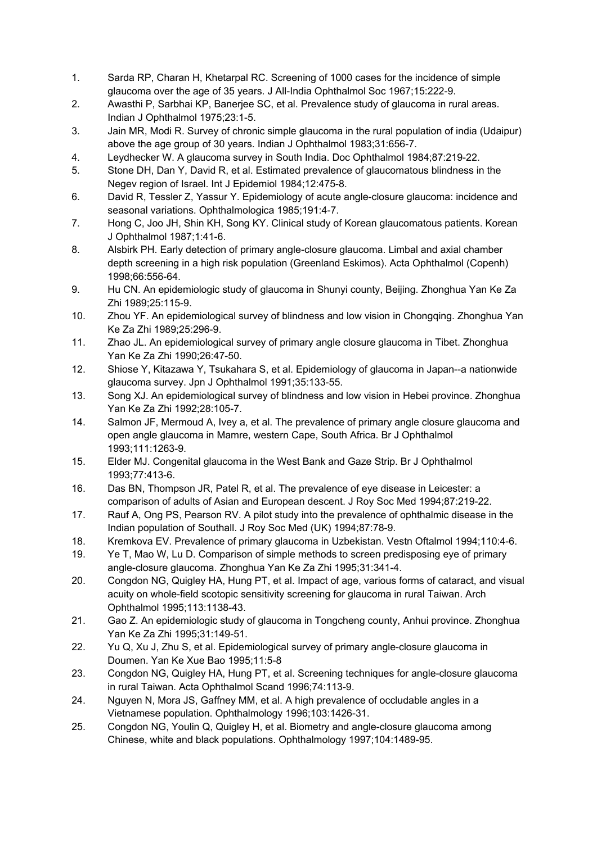- 1. Sarda RP, Charan H, Khetarpal RC. Screening of 1000 cases for the incidence of simple glaucoma over the age of 35 years. J All-India Ophthalmol Soc 1967;15:222-9.
- 2. Awasthi P, Sarbhai KP, Banerjee SC, et al. Prevalence study of glaucoma in rural areas. Indian J Ophthalmol 1975;23:1-5.
- 3. Jain MR, Modi R. Survey of chronic simple glaucoma in the rural population of india (Udaipur) above the age group of 30 years. Indian J Ophthalmol 1983;31:656-7.
- 4. Leydhecker W. A glaucoma survey in South India. Doc Ophthalmol 1984;87:219-22.
- 5. Stone DH, Dan Y, David R, et al. Estimated prevalence of glaucomatous blindness in the Negev region of Israel. Int J Epidemiol 1984;12:475-8.
- 6. David R, Tessler Z, Yassur Y. Epidemiology of acute angle-closure glaucoma: incidence and seasonal variations. Ophthalmologica 1985;191:4-7.
- 7. Hong C, Joo JH, Shin KH, Song KY. Clinical study of Korean glaucomatous patients. Korean J Ophthalmol 1987;1:41-6.
- 8. Alsbirk PH. Early detection of primary angle-closure glaucoma. Limbal and axial chamber depth screening in a high risk population (Greenland Eskimos). Acta Ophthalmol (Copenh) 1998;66:556-64.
- 9. Hu CN. An epidemiologic study of glaucoma in Shunyi county, Beijing. Zhonghua Yan Ke Za Zhi 1989;25:115-9.
- 10. Zhou YF. An epidemiological survey of blindness and low vision in Chongqing. Zhonghua Yan Ke Za Zhi 1989;25:296-9.
- 11. Zhao JL. An epidemiological survey of primary angle closure glaucoma in Tibet. Zhonghua Yan Ke Za Zhi 1990;26:47-50.
- 12. Shiose Y, Kitazawa Y, Tsukahara S, et al. Epidemiology of glaucoma in Japan--a nationwide glaucoma survey. Jpn J Ophthalmol 1991;35:133-55.
- 13. Song XJ. An epidemiological survey of blindness and low vision in Hebei province. Zhonghua Yan Ke Za Zhi 1992;28:105-7.
- 14. Salmon JF, Mermoud A, Ivey a, et al. The prevalence of primary angle closure glaucoma and open angle glaucoma in Mamre, western Cape, South Africa. Br J Ophthalmol 1993;111:1263-9.
- 15. Elder MJ. Congenital glaucoma in the West Bank and Gaze Strip. Br J Ophthalmol 1993;77:413-6.
- 16. Das BN, Thompson JR, Patel R, et al. The prevalence of eye disease in Leicester: a comparison of adults of Asian and European descent. J Roy Soc Med 1994;87:219-22.
- 17. Rauf A, Ong PS, Pearson RV. A pilot study into the prevalence of ophthalmic disease in the Indian population of Southall. J Roy Soc Med (UK) 1994;87:78-9.
- 18. Kremkova EV. Prevalence of primary glaucoma in Uzbekistan. Vestn Oftalmol 1994;110:4-6.
- 19. Ye T, Mao W, Lu D. Comparison of simple methods to screen predisposing eye of primary angle-closure glaucoma. Zhonghua Yan Ke Za Zhi 1995;31:341-4.
- 20. Congdon NG, Quigley HA, Hung PT, et al. Impact of age, various forms of cataract, and visual acuity on whole-field scotopic sensitivity screening for glaucoma in rural Taiwan. Arch Ophthalmol 1995;113:1138-43.
- 21. Gao Z. An epidemiologic study of glaucoma in Tongcheng county, Anhui province. Zhonghua Yan Ke Za Zhi 1995;31:149-51.
- 22. Yu Q, Xu J, Zhu S, et al. Epidemiological survey of primary angle-closure glaucoma in Doumen. Yan Ke Xue Bao 1995;11:5-8
- 23. Congdon NG, Quigley HA, Hung PT, et al. Screening techniques for angle-closure glaucoma in rural Taiwan. Acta Ophthalmol Scand 1996;74:113-9.
- 24. Nguyen N, Mora JS, Gaffney MM, et al. A high prevalence of occludable angles in a Vietnamese population. Ophthalmology 1996;103:1426-31.
- 25. Congdon NG, Youlin Q, Quigley H, et al. Biometry and angle-closure glaucoma among Chinese, white and black populations. Ophthalmology 1997;104:1489-95.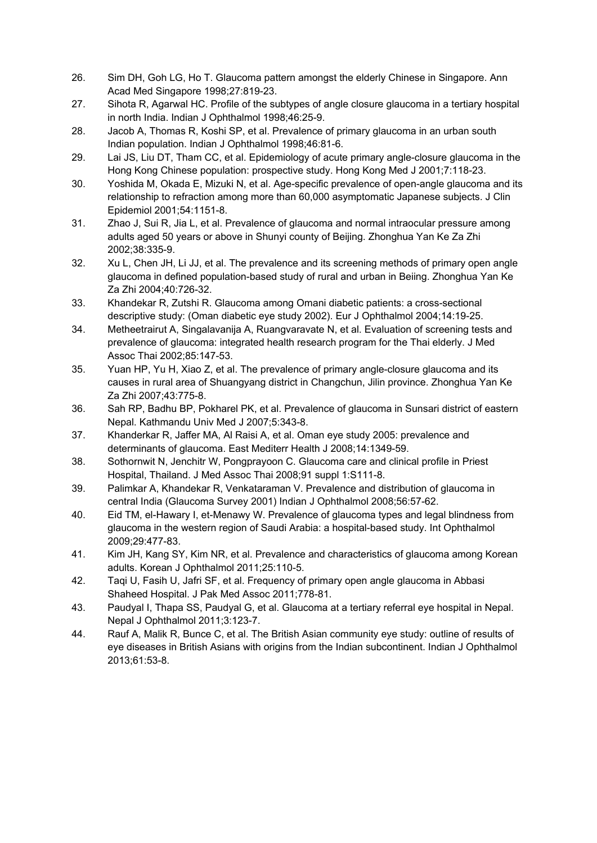- 26. Sim DH, Goh LG, Ho T. Glaucoma pattern amongst the elderly Chinese in Singapore. Ann Acad Med Singapore 1998;27:819-23.
- 27. Sihota R, Agarwal HC. Profile of the subtypes of angle closure glaucoma in a tertiary hospital in north India. Indian J Ophthalmol 1998;46:25-9.
- 28. Jacob A, Thomas R, Koshi SP, et al. Prevalence of primary glaucoma in an urban south Indian population. Indian J Ophthalmol 1998;46:81-6.
- 29. Lai JS, Liu DT, Tham CC, et al. Epidemiology of acute primary angle-closure glaucoma in the Hong Kong Chinese population: prospective study. Hong Kong Med J 2001;7:118-23.
- 30. Yoshida M, Okada E, Mizuki N, et al. Age-specific prevalence of open-angle glaucoma and its relationship to refraction among more than 60,000 asymptomatic Japanese subjects. J Clin Epidemiol 2001;54:1151-8.
- 31. Zhao J, Sui R, Jia L, et al. Prevalence of glaucoma and normal intraocular pressure among adults aged 50 years or above in Shunyi county of Beijing. Zhonghua Yan Ke Za Zhi 2002;38:335-9.
- 32. Xu L, Chen JH, Li JJ, et al. The prevalence and its screening methods of primary open angle glaucoma in defined population-based study of rural and urban in Beiing. Zhonghua Yan Ke Za Zhi 2004;40:726-32.
- 33. Khandekar R, Zutshi R. Glaucoma among Omani diabetic patients: a cross-sectional descriptive study: (Oman diabetic eye study 2002). Eur J Ophthalmol 2004;14:19-25.
- 34. Metheetrairut A, Singalavanija A, Ruangvaravate N, et al. Evaluation of screening tests and prevalence of glaucoma: integrated health research program for the Thai elderly. J Med Assoc Thai 2002;85:147-53.
- 35. Yuan HP, Yu H, Xiao Z, et al. The prevalence of primary angle-closure glaucoma and its causes in rural area of Shuangyang district in Changchun, Jilin province. Zhonghua Yan Ke Za Zhi 2007;43:775-8.
- 36. Sah RP, Badhu BP, Pokharel PK, et al. Prevalence of glaucoma in Sunsari district of eastern Nepal. Kathmandu Univ Med J 2007;5:343-8.
- 37. Khanderkar R, Jaffer MA, Al Raisi A, et al. Oman eye study 2005: prevalence and determinants of glaucoma. East Mediterr Health J 2008;14:1349-59.
- 38. Sothornwit N, Jenchitr W, Pongprayoon C. Glaucoma care and clinical profile in Priest Hospital, Thailand. J Med Assoc Thai 2008;91 suppl 1:S111-8.
- 39. Palimkar A, Khandekar R, Venkataraman V. Prevalence and distribution of glaucoma in central India (Glaucoma Survey 2001) Indian J Ophthalmol 2008;56:57-62.
- 40. Eid TM, el-Hawary I, et-Menawy W. Prevalence of glaucoma types and legal blindness from glaucoma in the western region of Saudi Arabia: a hospital-based study. Int Ophthalmol 2009;29:477-83.
- 41. Kim JH, Kang SY, Kim NR, et al. Prevalence and characteristics of glaucoma among Korean adults. Korean J Ophthalmol 2011;25:110-5.
- 42. Taqi U, Fasih U, Jafri SF, et al. Frequency of primary open angle glaucoma in Abbasi Shaheed Hospital. J Pak Med Assoc 2011;778-81.
- 43. Paudyal I, Thapa SS, Paudyal G, et al. Glaucoma at a tertiary referral eye hospital in Nepal. Nepal J Ophthalmol 2011;3:123-7.
- 44. Rauf A, Malik R, Bunce C, et al. The British Asian community eye study: outline of results of eye diseases in British Asians with origins from the Indian subcontinent. Indian J Ophthalmol 2013;61:53-8.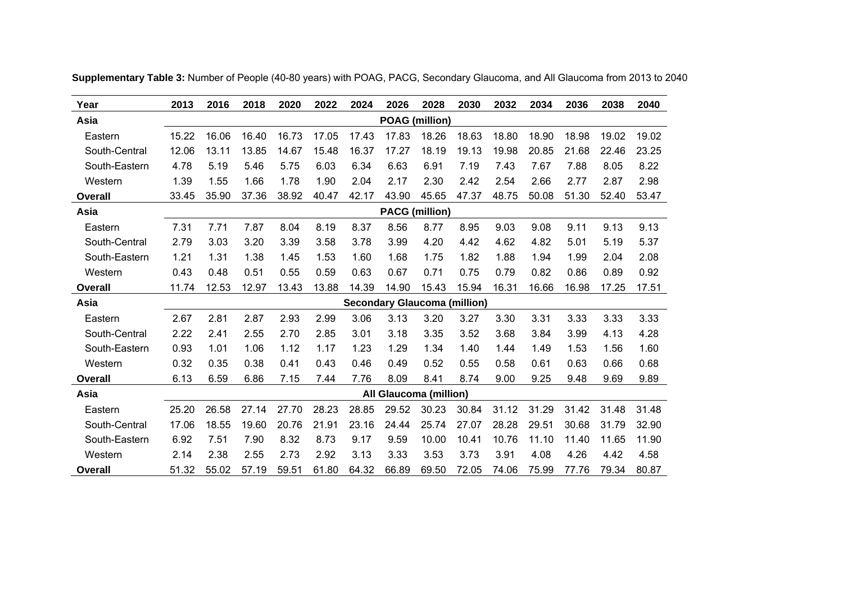| Year           | 2013  | 2016  | 2018  | 2020  | 2022  | 2024  | 2026                                | 2028  | 2030  | 2032  | 2034  | 2036  | 2038  | 2040  |
|----------------|-------|-------|-------|-------|-------|-------|-------------------------------------|-------|-------|-------|-------|-------|-------|-------|
| Asia           |       |       |       |       |       |       | <b>POAG</b> (million)               |       |       |       |       |       |       |       |
| Eastern        | 15.22 | 16.06 | 16.40 | 16.73 | 17.05 | 17.43 | 17.83                               | 18.26 | 18.63 | 18.80 | 18.90 | 18.98 | 19.02 | 19.02 |
| South-Central  | 12.06 | 13.11 | 13.85 | 14.67 | 15.48 | 16.37 | 17.27                               | 18.19 | 19.13 | 19.98 | 20.85 | 21.68 | 22.46 | 23.25 |
| South-Eastern  | 4.78  | 5.19  | 5.46  | 5.75  | 6.03  | 6.34  | 6.63                                | 6.91  | 7.19  | 7.43  | 7.67  | 7.88  | 8.05  | 8.22  |
| Western        | 1.39  | 1.55  | 1.66  | 1.78  | 1.90  | 2.04  | 2.17                                | 2.30  | 2.42  | 2.54  | 2.66  | 2.77  | 2.87  | 2.98  |
| <b>Overall</b> | 33.45 | 35.90 | 37.36 | 38.92 | 40.47 | 42.17 | 43.90                               | 45.65 | 47.37 | 48.75 | 50.08 | 51.30 | 52.40 | 53.47 |
| Asia           |       |       |       |       |       |       | <b>PACG</b> (million)               |       |       |       |       |       |       |       |
| Eastern        | 7.31  | 7.71  | 7.87  | 8.04  | 8.19  | 8.37  | 8.56                                | 8.77  | 8.95  | 9.03  | 9.08  | 9.11  | 9.13  | 9.13  |
| South-Central  | 2.79  | 3.03  | 3.20  | 3.39  | 3.58  | 3.78  | 3.99                                | 4.20  | 4.42  | 4.62  | 4.82  | 5.01  | 5.19  | 5.37  |
| South-Eastern  | 1.21  | 1.31  | 1.38  | 1.45  | 1.53  | 1.60  | 1.68                                | 1.75  | 1.82  | 1.88  | 1.94  | 1.99  | 2.04  | 2.08  |
| Western        | 0.43  | 0.48  | 0.51  | 0.55  | 0.59  | 0.63  | 0.67                                | 0.71  | 0.75  | 0.79  | 0.82  | 0.86  | 0.89  | 0.92  |
| <b>Overall</b> | 11.74 | 12.53 | 12.97 | 13.43 | 13.88 | 14.39 | 14.90                               | 15.43 | 15.94 | 16.31 | 16.66 | 16.98 | 17.25 | 17.51 |
| Asia           |       |       |       |       |       |       | <b>Secondary Glaucoma (million)</b> |       |       |       |       |       |       |       |
| Eastern        | 2.67  | 2.81  | 2.87  | 2.93  | 2.99  | 3.06  | 3.13                                | 3.20  | 3.27  | 3.30  | 3.31  | 3.33  | 3.33  | 3.33  |
| South-Central  | 2.22  | 2.41  | 2.55  | 2.70  | 2.85  | 3.01  | 3.18                                | 3.35  | 3.52  | 3.68  | 3.84  | 3.99  | 4.13  | 4.28  |
| South-Eastern  | 0.93  | 1.01  | 1.06  | 1.12  | 1.17  | 1.23  | 1.29                                | 1.34  | 1.40  | 1.44  | 1.49  | 1.53  | 1.56  | 1.60  |
| Western        | 0.32  | 0.35  | 0.38  | 0.41  | 0.43  | 0.46  | 0.49                                | 0.52  | 0.55  | 0.58  | 0.61  | 0.63  | 0.66  | 0.68  |
| <b>Overall</b> | 6.13  | 6.59  | 6.86  | 7.15  | 7.44  | 7.76  | 8.09                                | 8.41  | 8.74  | 9.00  | 9.25  | 9.48  | 9.69  | 9.89  |
| Asia           |       |       |       |       |       |       | All Glaucoma (million)              |       |       |       |       |       |       |       |
| Eastern        | 25.20 | 26.58 | 27.14 | 27.70 | 28.23 | 28.85 | 29.52                               | 30.23 | 30.84 | 31.12 | 31.29 | 31.42 | 31.48 | 31.48 |
| South-Central  | 17.06 | 18.55 | 19.60 | 20.76 | 21.91 | 23.16 | 24.44                               | 25.74 | 27.07 | 28.28 | 29.51 | 30.68 | 31.79 | 32.90 |
| South-Eastern  | 6.92  | 7.51  | 7.90  | 8.32  | 8.73  | 9.17  | 9.59                                | 10.00 | 10.41 | 10.76 | 11.10 | 11.40 | 11.65 | 11.90 |
| Western        | 2.14  | 2.38  | 2.55  | 2.73  | 2.92  | 3.13  | 3.33                                | 3.53  | 3.73  | 3.91  | 4.08  | 4.26  | 4.42  | 4.58  |
| Overall        | 51.32 | 55.02 | 57.19 | 59.51 | 61.80 | 64.32 | 66.89                               | 69.50 | 72.05 | 74.06 | 75.99 | 77.76 | 79.34 | 80.87 |

**Supplementary Table 3:** Number of People (40-80 years) with POAG, PACG, Secondary Glaucoma, and All Glaucoma from 2013 to 2040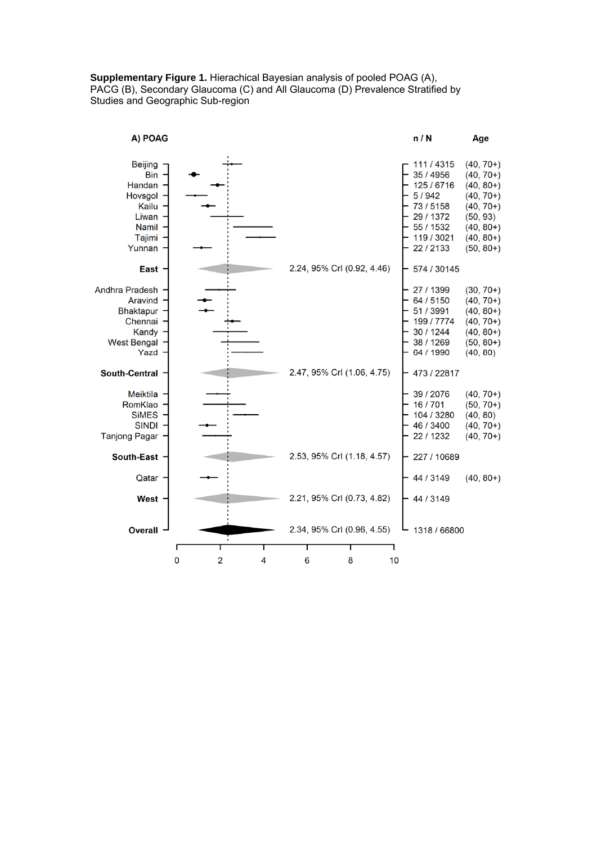## **Supplementary Figure 1.** Hierachical Bayesian analysis of pooled POAG (A), PACG (B), Secondary Glaucoma (C) and All Glaucoma (D) Prevalence Stratified by Studies and Geographic Sub-region

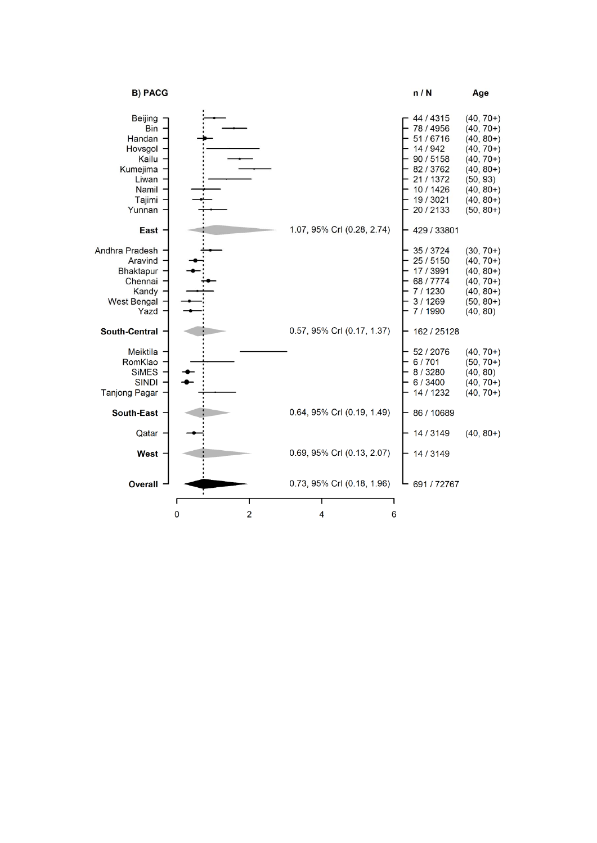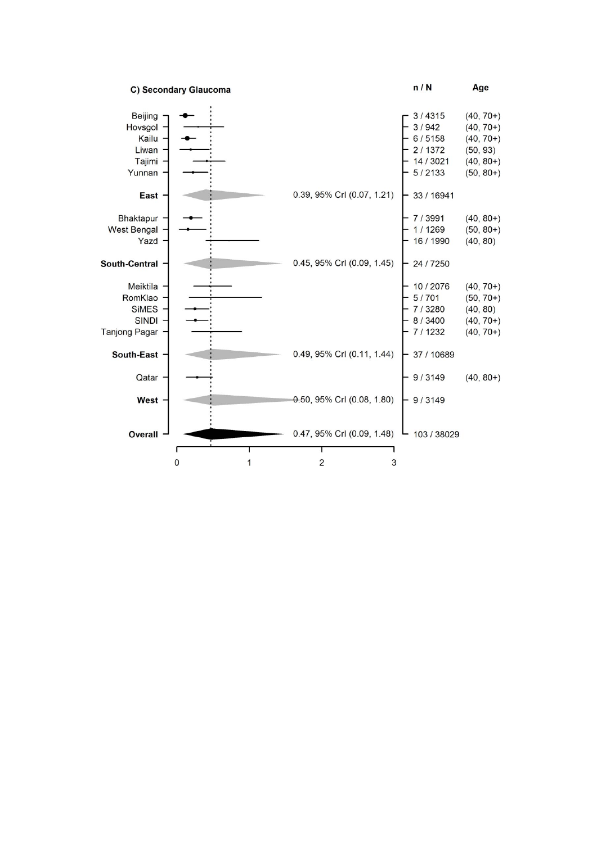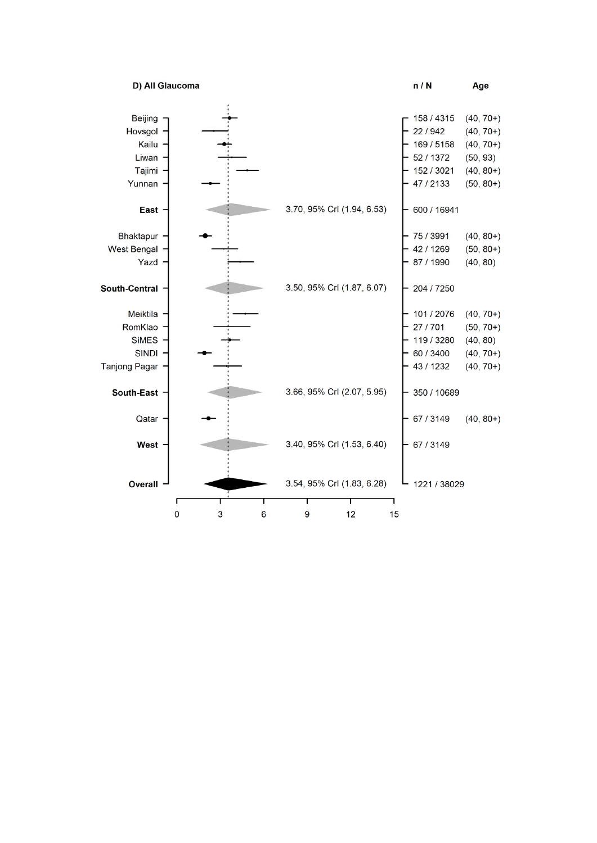D) All Glaucoma



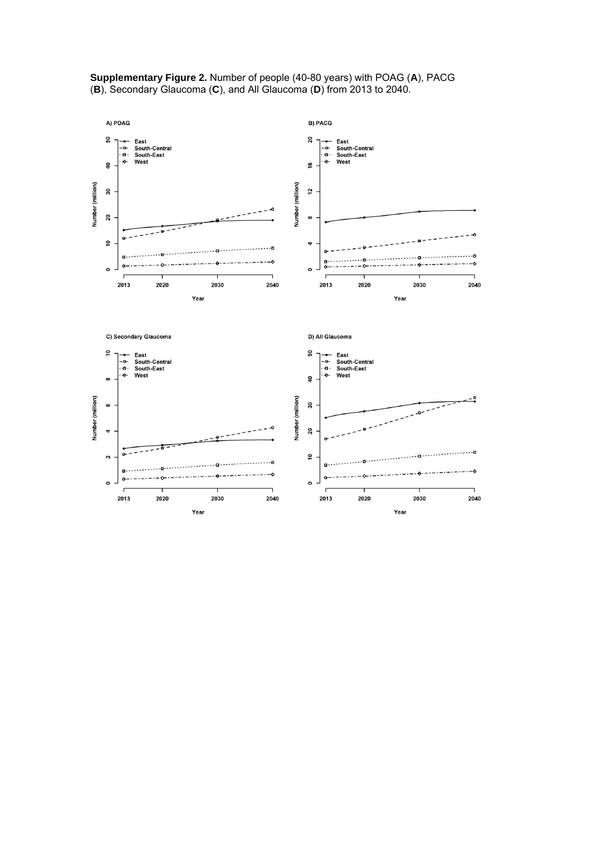

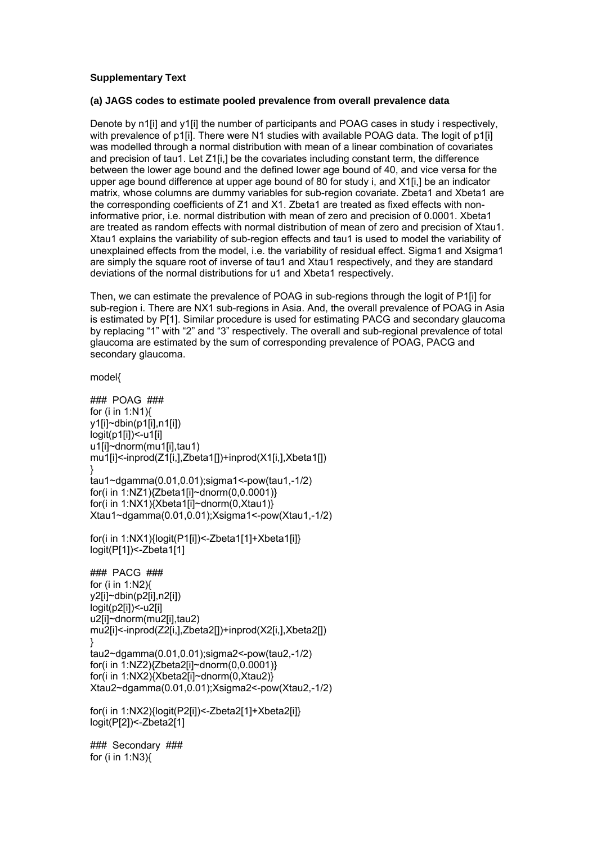## **Supplementary Text**

## **(a) JAGS codes to estimate pooled prevalence from overall prevalence data**

Denote by n1[i] and y1[i] the number of participants and POAG cases in study i respectively, with prevalence of p1[i]. There were N1 studies with available POAG data. The logit of p1[i] was modelled through a normal distribution with mean of a linear combination of covariates and precision of tau1. Let Z1[i,] be the covariates including constant term, the difference between the lower age bound and the defined lower age bound of 40, and vice versa for the upper age bound difference at upper age bound of 80 for study i, and X1[i,] be an indicator matrix, whose columns are dummy variables for sub-region covariate. Zbeta1 and Xbeta1 are the corresponding coefficients of Z1 and X1. Zbeta1 are treated as fixed effects with noninformative prior, i.e. normal distribution with mean of zero and precision of 0.0001. Xbeta1 are treated as random effects with normal distribution of mean of zero and precision of Xtau1. Xtau1 explains the variability of sub-region effects and tau1 is used to model the variability of unexplained effects from the model, i.e. the variability of residual effect. Sigma1 and Xsigma1 are simply the square root of inverse of tau1 and Xtau1 respectively, and they are standard deviations of the normal distributions for u1 and Xbeta1 respectively.

Then, we can estimate the prevalence of POAG in sub-regions through the logit of P1[i] for sub-region i. There are NX1 sub-regions in Asia. And, the overall prevalence of POAG in Asia is estimated by P[1]. Similar procedure is used for estimating PACG and secondary glaucoma by replacing "1" with "2" and "3" respectively. The overall and sub-regional prevalence of total glaucoma are estimated by the sum of corresponding prevalence of POAG, PACG and secondary glaucoma.

model{

### POAG ### for (i in 1:N1){ y1[i]~dbin(p1[i],n1[i]) logit(p1[i])<-u1[i] u1[i]~dnorm(mu1[i],tau1) mu1[i]<-inprod(Z1[i,],Zbeta1[])+inprod(X1[i,],Xbeta1[]) } tau1~dgamma(0.01,0.01);sigma1<-pow(tau1,-1/2) for(i in 1:NZ1){Zbeta1[i]~dnorm(0,0.0001)} for(i in 1:NX1){Xbeta1[i]~dnorm(0,Xtau1)} Xtau1~dgamma(0.01,0.01);Xsigma1<-pow(Xtau1,-1/2) for(i in 1:NX1){logit(P1[i])<-Zbeta1[1]+Xbeta1[i]} logit(P[1])<-Zbeta1[1] ### PACG ###

for (i in 1:N2){ y2[i]~dbin(p2[i],n2[i]) logit(p2[i])<-u2[i] u2[i]~dnorm(mu2[i],tau2) mu2[i]<-inprod(Z2[i,],Zbeta2[])+inprod(X2[i,],Xbeta2[]) } tau2~dgamma(0.01,0.01);sigma2<-pow(tau2,-1/2) for(i in 1:NZ2){Zbeta2[i]~dnorm(0,0.0001)} for(i in 1:NX2){Xbeta2[i]~dnorm(0,Xtau2)} Xtau2~dgamma(0.01,0.01);Xsigma2<-pow(Xtau2,-1/2)

for(i in 1:NX2){logit(P2[i])<-Zbeta2[1]+Xbeta2[i]} logit(P[2])<-Zbeta2[1]

### Secondary ### for (i in 1:N3){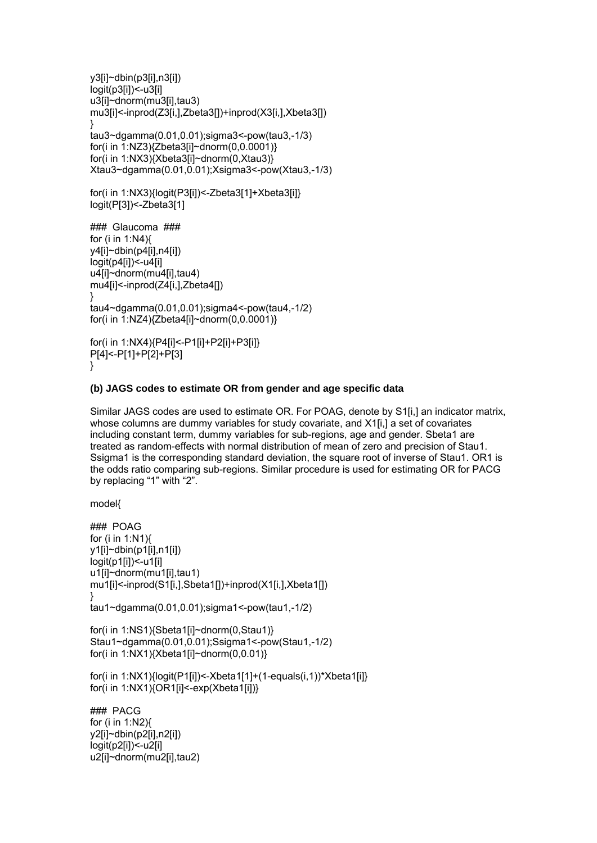```
y3[i]~dbin(p3[i],n3[i]) 
logit(p3[i])<-u3[i] 
u3[i]~dnorm(mu3[i],tau3) 
mu3[i]<-inprod(Z3[i,],Zbeta3[])+inprod(X3[i,],Xbeta3[]) 
} 
tau3~dgamma(0.01,0.01);sigma3<-pow(tau3,-1/3) 
for(i in 1:NZ3){Zbeta3[i]~dnorm(0,0.0001)} 
for(i in 1:NX3){Xbeta3[i]~dnorm(0,Xtau3)} 
Xtau3~dgamma(0.01,0.01);Xsigma3<-pow(Xtau3,-1/3)
```

```
for(i in 1:NX3){logit(P3[i])<-Zbeta3[1]+Xbeta3[i]} 
logit(P[3])<-Zbeta3[1]
```

```
### Glaucoma ### 
for (i in 1:N4){ 
y4[i]~dbin(p4[i],n4[i]) 
logit(p4[i])<-u4[i] 
u4[i]~dnorm(mu4[i],tau4) 
mu4[i]<-inprod(Z4[i,],Zbeta4[]) 
} 
tau4~dgamma(0.01,0.01);sigma4<-pow(tau4,-1/2) 
for(i in 1:NZ4){Zbeta4[i]~dnorm(0,0.0001)}
```

```
for(i in 1:NX4){P4[i]<-P1[i]+P2[i]+P3[i]} 
P[4]<-P[1]+P[2]+P[3] 
}
```
## **(b) JAGS codes to estimate OR from gender and age specific data**

Similar JAGS codes are used to estimate OR. For POAG, denote by S1[i,] an indicator matrix, whose columns are dummy variables for study covariate, and X1[i,] a set of covariates including constant term, dummy variables for sub-regions, age and gender. Sbeta1 are treated as random-effects with normal distribution of mean of zero and precision of Stau1. Ssigma1 is the corresponding standard deviation, the square root of inverse of Stau1. OR1 is the odds ratio comparing sub-regions. Similar procedure is used for estimating OR for PACG by replacing "1" with "2".

model{

u2[i]~dnorm(mu2[i],tau2)

```
### POAG 
for (i in 1:N1){ 
y1[i]~dbin(p1[i],n1[i]) 
logit(p1[i])<-u1[i] 
u1[i]~dnorm(mu1[i],tau1) 
mu1[i]<-inprod(S1[i,],Sbeta1[])+inprod(X1[i,],Xbeta1[]) 
} 
tau1~dgamma(0.01,0.01);sigma1<-pow(tau1,-1/2) 
for(i in 1:NS1){Sbeta1[i]~dnorm(0,Stau1)} 
Stau1~dgamma(0.01,0.01);Ssigma1<-pow(Stau1,-1/2) 
for(i in 1:NX1)\{Xbeta1|[-\text{dnorm}(0,0.01)\}for(i in 1:NX1){logit(P1[i])<-Xbeta1[1]+(1-equals(i,1))*Xbeta1[i]} 
for(i in 1:NX1){OR1[i]<-exp(Xbeta1[i])} 
### PACG 
for (i in 1:N2){ 
y2[i]~dbin(p2[i],n2[i]) 
logit(p2[i])<-u2[i]
```